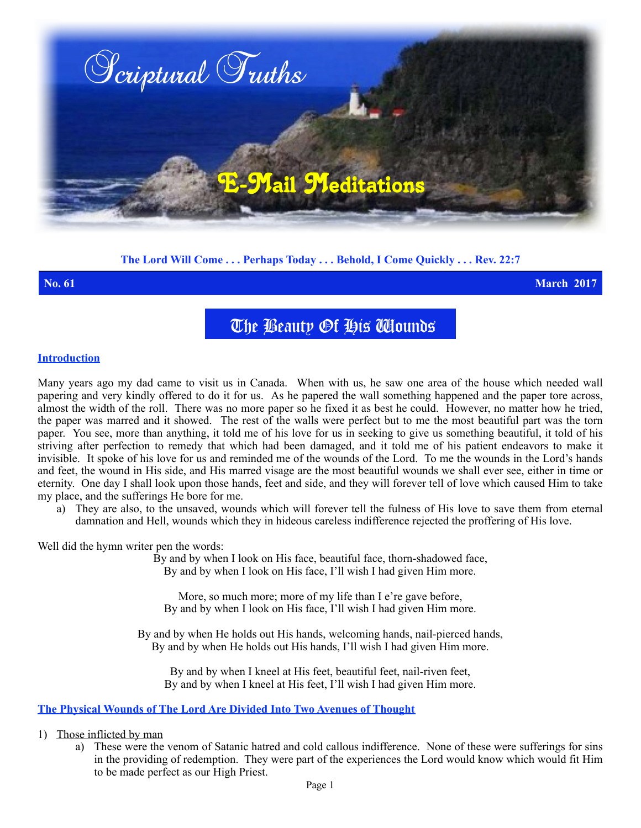

# **The Lord Will Come . . . Perhaps Today . . . Behold, I Come Quickly . . . Rev. 22:7**

**No. 61 March 2017**

The Beauty Of His Wounds

### **Introduction**

Many years ago my dad came to visit us in Canada. When with us, he saw one area of the house which needed wall papering and very kindly offered to do it for us. As he papered the wall something happened and the paper tore across, almost the width of the roll. There was no more paper so he fixed it as best he could. However, no matter how he tried, the paper was marred and it showed. The rest of the walls were perfect but to me the most beautiful part was the torn paper. You see, more than anything, it told me of his love for us in seeking to give us something beautiful, it told of his striving after perfection to remedy that which had been damaged, and it told me of his patient endeavors to make it invisible. It spoke of his love for us and reminded me of the wounds of the Lord. To me the wounds in the Lord's hands and feet, the wound in His side, and His marred visage are the most beautiful wounds we shall ever see, either in time or eternity. One day I shall look upon those hands, feet and side, and they will forever tell of love which caused Him to take my place, and the sufferings He bore for me.

a) They are also, to the unsaved, wounds which will forever tell the fulness of His love to save them from eternal damnation and Hell, wounds which they in hideous careless indifference rejected the proffering of His love.

Well did the hymn writer pen the words:

By and by when I look on His face, beautiful face, thorn-shadowed face, By and by when I look on His face, I'll wish I had given Him more.

More, so much more; more of my life than I e're gave before, By and by when I look on His face, I'll wish I had given Him more.

By and by when He holds out His hands, welcoming hands, nail-pierced hands, By and by when He holds out His hands, I'll wish I had given Him more.

By and by when I kneel at His feet, beautiful feet, nail-riven feet, By and by when I kneel at His feet, I'll wish I had given Him more.

#### **The Physical Wounds of The Lord Are Divided Into Two Avenues of Thought**

- 1) Those inflicted by man
	- a) These were the venom of Satanic hatred and cold callous indifference. None of these were sufferings for sins in the providing of redemption. They were part of the experiences the Lord would know which would fit Him to be made perfect as our High Priest.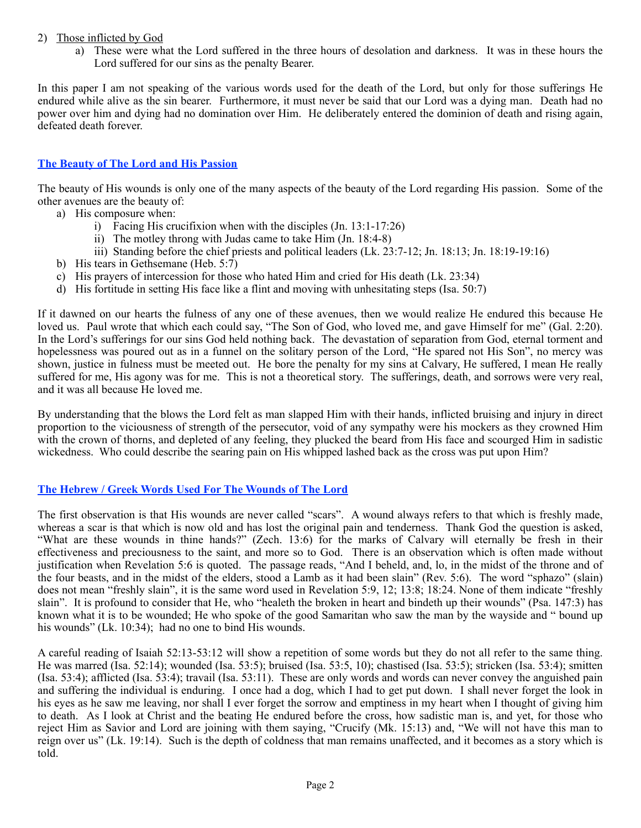## 2) Those inflicted by God

a) These were what the Lord suffered in the three hours of desolation and darkness. It was in these hours the Lord suffered for our sins as the penalty Bearer.

In this paper I am not speaking of the various words used for the death of the Lord, but only for those sufferings He endured while alive as the sin bearer. Furthermore, it must never be said that our Lord was a dying man. Death had no power over him and dying had no domination over Him. He deliberately entered the dominion of death and rising again, defeated death forever.

# **The Beauty of The Lord and His Passion**

The beauty of His wounds is only one of the many aspects of the beauty of the Lord regarding His passion. Some of the other avenues are the beauty of:

- a) His composure when:
	- i) Facing His crucifixion when with the disciples (Jn. 13:1-17:26)
	- ii) The motley throng with Judas came to take Him (Jn. 18:4-8)
	- iii) Standing before the chief priests and political leaders (Lk. 23:7-12; Jn. 18:13; Jn. 18:19-19:16)
- b) His tears in Gethsemane (Heb. 5:7)
- c) His prayers of intercession for those who hated Him and cried for His death (Lk. 23:34)
- d) His fortitude in setting His face like a flint and moving with unhesitating steps (Isa. 50:7)

If it dawned on our hearts the fulness of any one of these avenues, then we would realize He endured this because He loved us. Paul wrote that which each could say, "The Son of God, who loved me, and gave Himself for me" (Gal. 2:20). In the Lord's sufferings for our sins God held nothing back. The devastation of separation from God, eternal torment and hopelessness was poured out as in a funnel on the solitary person of the Lord, "He spared not His Son", no mercy was shown, justice in fulness must be meeted out. He bore the penalty for my sins at Calvary, He suffered, I mean He really suffered for me, His agony was for me. This is not a theoretical story. The sufferings, death, and sorrows were very real, and it was all because He loved me.

By understanding that the blows the Lord felt as man slapped Him with their hands, inflicted bruising and injury in direct proportion to the viciousness of strength of the persecutor, void of any sympathy were his mockers as they crowned Him with the crown of thorns, and depleted of any feeling, they plucked the beard from His face and scourged Him in sadistic wickedness. Who could describe the searing pain on His whipped lashed back as the cross was put upon Him?

#### **The Hebrew / Greek Words Used For The Wounds of The Lord**

The first observation is that His wounds are never called "scars". A wound always refers to that which is freshly made, whereas a scar is that which is now old and has lost the original pain and tenderness. Thank God the question is asked, "What are these wounds in thine hands?" (Zech. 13:6) for the marks of Calvary will eternally be fresh in their effectiveness and preciousness to the saint, and more so to God. There is an observation which is often made without justification when Revelation 5:6 is quoted. The passage reads, "And I beheld, and, lo, in the midst of the throne and of the four beasts, and in the midst of the elders, stood a Lamb as it had been slain" (Rev. 5:6). The word "sphazo" (slain) does not mean "freshly slain", it is the same word used in Revelation 5:9, 12; 13:8; 18:24. None of them indicate "freshly slain". It is profound to consider that He, who "healeth the broken in heart and bindeth up their wounds" (Psa. 147:3) has known what it is to be wounded; He who spoke of the good Samaritan who saw the man by the wayside and " bound up his wounds" (Lk. 10:34); had no one to bind His wounds.

A careful reading of Isaiah 52:13-53:12 will show a repetition of some words but they do not all refer to the same thing. He was marred (Isa. 52:14); wounded (Isa. 53:5); bruised (Isa. 53:5, 10); chastised (Isa. 53:5); stricken (Isa. 53:4); smitten (Isa. 53:4); afflicted (Isa. 53:4); travail (Isa. 53:11). These are only words and words can never convey the anguished pain and suffering the individual is enduring. I once had a dog, which I had to get put down. I shall never forget the look in his eyes as he saw me leaving, nor shall I ever forget the sorrow and emptiness in my heart when I thought of giving him to death. As I look at Christ and the beating He endured before the cross, how sadistic man is, and yet, for those who reject Him as Savior and Lord are joining with them saying, "Crucify (Mk. 15:13) and, "We will not have this man to reign over us" (Lk. 19:14). Such is the depth of coldness that man remains unaffected, and it becomes as a story which is told.